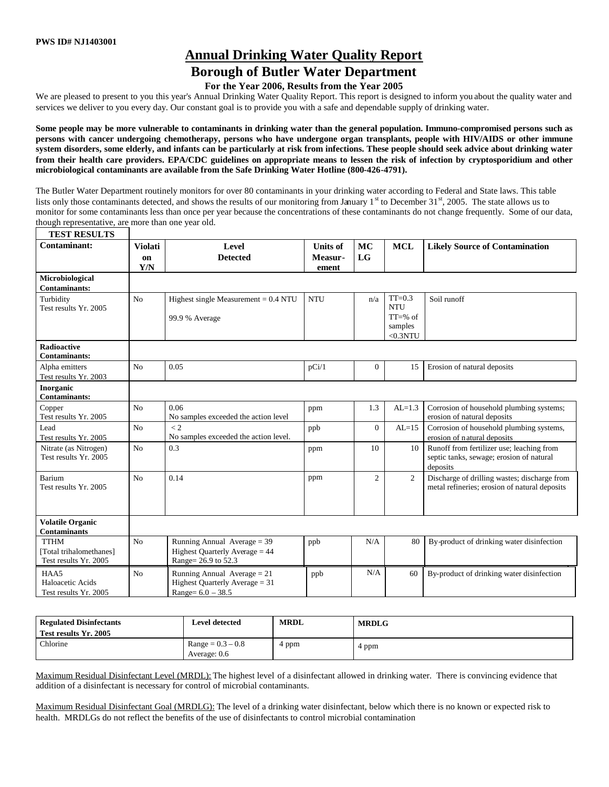**TEST RESULTS**

 $\blacksquare$ 

# **Annual Drinking Water Quality Report**

## **Borough of Butler Water Department**

### **For the Year 2006, Results from the Year 2005**

We are pleased to present to you this year's Annual Drinking Water Quality Report. This report is designed to inform you about the quality water and services we deliver to you every day. Our constant goal is to provide you with a safe and dependable supply of drinking water.

**Some people may be more vulnerable to contaminants in drinking water than the general population. Immuno-compromised persons such as persons with cancer undergoing chemotherapy, persons who have undergone organ transplants, people with HIV/AIDS or other immune system disorders, some elderly, and infants can be particularly at risk from infections. These people should seek advice about drinking water from their health care providers. EPA/CDC guidelines on appropriate means to lessen the risk of infection by cryptosporidium and other microbiological contaminants are available from the Safe Drinking Water Hotline (800-426-4791).**

The Butler Water Department routinely monitors for over 80 contaminants in your drinking water according to Federal and State laws. This table lists only those contaminants detected, and shows the results of our monitoring from January 1<sup>st</sup> to December 31<sup>st</sup>, 2005. The state allows us to monitor for some contaminants less than once per year because the concentrations of these contaminants do not change frequently. Some of our data, though representative, are more than one year old.

| 1 BU I WBUVB 10                                                 |                      |                                                                                          |                            |                |                                                              |                                                                                                   |
|-----------------------------------------------------------------|----------------------|------------------------------------------------------------------------------------------|----------------------------|----------------|--------------------------------------------------------------|---------------------------------------------------------------------------------------------------|
| Contaminant:                                                    | <b>Violati</b><br>on | Level<br><b>Detected</b>                                                                 | <b>Units of</b><br>Measur- | MC<br>LG       | <b>MCL</b>                                                   | <b>Likely Source of Contamination</b>                                                             |
|                                                                 | Y/N                  |                                                                                          | ement                      |                |                                                              |                                                                                                   |
| Microbiological<br><b>Contaminants:</b>                         |                      |                                                                                          |                            |                |                                                              |                                                                                                   |
| Turbidity<br>Test results Yr. 2005                              | N <sub>o</sub>       | Highest single Measurement $= 0.4$ NTU<br>99.9 % Average                                 | <b>NTU</b>                 | n/a            | $TT=0.3$<br><b>NTU</b><br>$TT = % of$<br>samples<br>< 0.3NTU | Soil runoff                                                                                       |
| <b>Radioactive</b><br><b>Contaminants:</b>                      |                      |                                                                                          |                            |                |                                                              |                                                                                                   |
| Alpha emitters<br>Test results Yr. 2003                         | No                   | 0.05                                                                                     | pCi/1                      | $\Omega$       | 15                                                           | Erosion of natural deposits                                                                       |
| Inorganic<br><b>Contaminants:</b>                               |                      |                                                                                          |                            |                |                                                              |                                                                                                   |
| Copper<br>Test results Yr. 2005                                 | No                   | 0.06<br>No samples exceeded the action level                                             | ppm                        | 1.3            | $AL=1.3$                                                     | Corrosion of household plumbing systems;<br>erosion of natural deposits                           |
| Lead<br>Test results Yr. 2005                                   | N <sub>o</sub>       | $\lt 2$<br>No samples exceeded the action level.                                         | ppb                        | $\overline{0}$ | $AL=15$                                                      | Corrosion of household plumbing systems,<br>erosion of natural deposits                           |
| Nitrate (as Nitrogen)<br>Test results Yr. 2005                  | No                   | 0.3                                                                                      | ppm                        | 10             | 10                                                           | Runoff from fertilizer use; leaching from<br>septic tanks, sewage; erosion of natural<br>deposits |
| Barium<br>Test results Yr. 2005                                 | No                   | 0.14                                                                                     | ppm                        | $\overline{c}$ | $\overline{2}$                                               | Discharge of drilling wastes; discharge from<br>metal refineries; erosion of natural deposits     |
| <b>Volatile Organic</b><br><b>Contaminants</b>                  |                      |                                                                                          |                            |                |                                                              |                                                                                                   |
| <b>TTHM</b><br>[Total trihalomethanes]<br>Test results Yr. 2005 | No                   | Running Annual Average = $39$<br>Highest Quarterly Average $= 44$<br>Range= 26.9 to 52.3 | ppb                        | N/A            | 80                                                           | By-product of drinking water disinfection                                                         |
| HAA5<br>Haloacetic Acids<br>Test results Yr. 2005               | N <sub>o</sub>       | Running Annual Average $= 21$<br>Highest Quarterly Average $= 31$<br>Range= $6.0 - 38.5$ | ppb                        | N/A            | 60                                                           | By-product of drinking water disinfection                                                         |

| <b>Regulated Disinfectants</b> | <b>Level detected</b>               | <b>MRDL</b> | <b>MRDLG</b>     |  |
|--------------------------------|-------------------------------------|-------------|------------------|--|
| Test results Yr. 2005          |                                     |             |                  |  |
| Chlorine                       | $Range = 0.3 - 0.8$<br>Average: 0.6 | 4 ppm       | <sup>1</sup> ppm |  |

Maximum Residual Disinfectant Level (MRDL): The highest level of a disinfectant allowed in drinking water. There is convincing evidence that addition of a disinfectant is necessary for control of microbial contaminants.

Maximum Residual Disinfectant Goal (MRDLG): The level of a drinking water disinfectant, below which there is no known or expected risk to health. MRDLGs do not reflect the benefits of the use of disinfectants to control microbial contamination